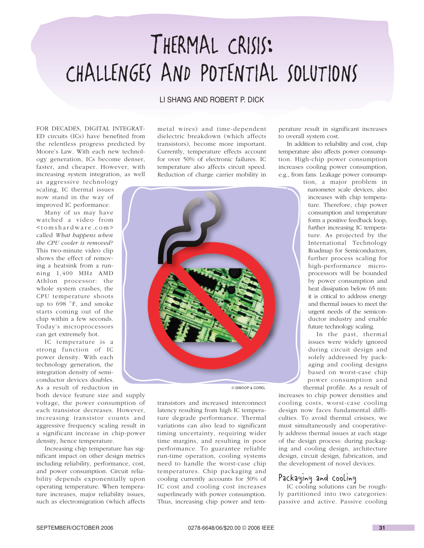# THERMAL CRISIS: CHALLENGES AND POTENTIAL SOLUTIONS

### LI SHANG AND ROBERT P. DICK

FOR DECADES, DIGITAL INTEGRAT-ED circuits (ICs) have benefited from the relentless progress predicted by Moore's Law. With each new technology generation, ICs become denser, faster, and cheaper. However, with increasing system integration, as well

as aggressive technology scaling, IC thermal issues now stand in the way of improved IC performance.

Many of us may have watched a video from <tomshardware.com> called *What happens when the CPU cooler is removed?* This two-minute video clip shows the effect of removing a heatsink from a running 1,400 MHz AMD Athlon processor: the whole system crashes, the CPU temperature shoots up to 698 ◦F, and smoke starts coming out of the chip within a few seconds. Today's microprocessors can get extremely hot.

IC temperature is a strong function of IC power density. With each technology generation, the integration density of semiconductor devices doubles. As a result of reduction in

both device feature size and supply voltage, the power consumption of each transistor decreases. However, increasing transistor counts and aggressive frequency scaling result in a significant increase in chip-power density, hence temperature.

Increasing chip temperature has significant impact on other design metrics including reliability, performance, cost, and power consumption. Circuit reliability depends exponentially upon operating temperature. When temperature increases, major reliability issues, such as electromigration (which affects metal wires) and time-dependent dielectric breakdown (which affects transistors), become more important. Currently, temperature effects account for over 50% of electronic failures. IC temperature also affects circuit speed. Reduction of charge carrier mobility in perature result in significant increases to overall system cost.

In addition to reliability and cost, chip temperature also affects power consumption. High-chip power consumption increases cooling power consumption, e.g., from fans. Leakage power consumption, a major problem in

nanometer scale devices, also increases with chip temperature. Therefore, chip power consumption and temperature form a positive feedback loop, further increasing IC temperature. As projected by the International Technology Roadmap for Semiconductors, further process scaling for high-performance microprocessors will be bounded by power consumption and heat dissipation below 65 nm: it is critical to address energy and thermal issues to meet the urgent needs of the semiconductor industry and enable future technology scaling.

In the past, thermal issues were widely ignored during circuit design and solely addressed by packaging and cooling designs based on worst-case chip power consumption and thermal profile. As a result of

increases to chip power densities and cooling costs, worst-case cooling design now faces fundamental difficulties. To avoid thermal crisises, we must simultaneously and cooperatively address thermal issues at each stage of the design process: during packaging and cooling design, architecture design, circuit design, fabrication, and the development of novel devices.

### Packaging and cooling

IC cooling solutions can be roughly partitioned into two categories: passive and active. Passive cooling



© iSWOOP & COREL

transistors and increased interconnect latency resulting from high IC temperature degrade performance. Thermal variations can also lead to significant timing uncertainty, requiring wider time margins, and resulting in poor performance. To guarantee reliable run-time operation, cooling systems need to handle the worst-case chip temperatures. Chip packaging and cooling currently accounts for 30% of IC cost and cooling cost increases superlinearly with power consumption. Thus, increasing chip power and tem-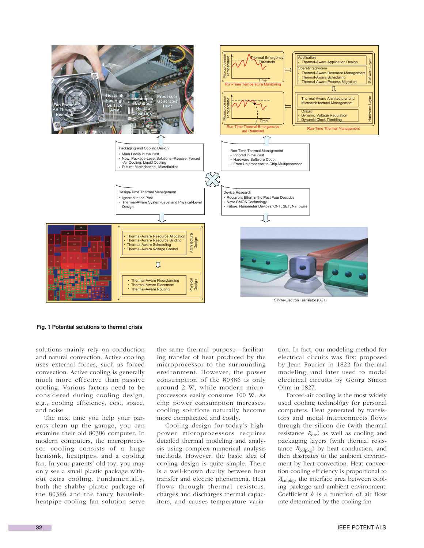

**Fig. 1 Potential solutions to thermal crisis**

solutions mainly rely on conduction and natural convection. Active cooling uses external forces, such as forced convection. Active cooling is generally much more effective than passive cooling. Various factors need to be considered during cooling design, e.g., cooling efficiency, cost, space, and noise.

The next time you help your parents clean up the garage, you can examine their old 80386 computer. In modern computers, the microprocessor cooling consists of a huge heatsink, heatpipes, and a cooling fan. In your parents' old toy, you may only see a small plastic package without extra cooling. Fundamentally, both the shabby plastic package of the 80386 and the fancy heatsinkheatpipe-cooling fan solution serve the same thermal purpose—facilitating transfer of heat produced by the microprocessor to the surrounding environment. However, the power consumption of the 80386 is only around 2 W, while modern microprocessors easily consume 100 W. As chip power consumption increases, cooling solutions naturally become more complicated and costly.

Cooling design for today's highpower microprocessors requires detailed thermal modeling and analysis using complex numerical analysis methods. However, the basic idea of cooling design is quite simple. There is a well-known duality between heat transfer and electric phenomena. Heat flows through thermal resistors, charges and discharges thermal capacitors, and causes temperature varia-

tion. In fact, our modeling method for electrical circuits was first proposed by Jean Fourier in 1822 for thermal modeling, and later used to model electrical circuits by Georg Simon Ohm in 1827.

Forced-air cooling is the most widely used cooling technology for personal computers. Heat generated by transistors and metal interconnects flows through the silicon die (with thermal resistance  $R_{\text{die}}$ ) as well as cooling and packaging layers (with thermal resistance  $R_{\text{colpkg}}$ ) by heat conduction, and then dissipates to the ambient environment by heat convection. Heat convection cooling efficiency is proportional to *A*colpkg, the interface area between cooling package and ambient environment. Coefficient *h* is a function of air flow rate determined by the cooling fan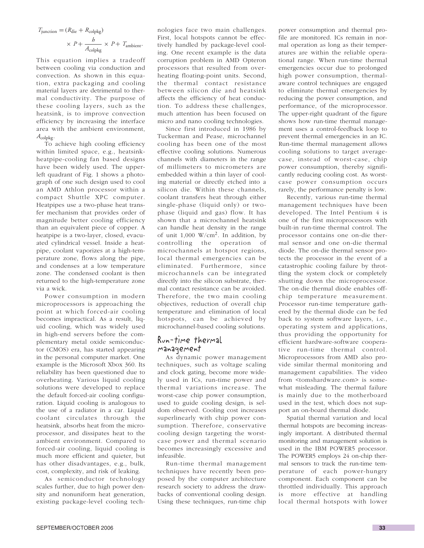$$
T_{\text{junction}} = (R_{\text{die}} + R_{\text{colpkg}})
$$

$$
\times P + \frac{b}{A_{\text{colpkg}}} \times P + T_{\text{ambient}}.
$$

This equation implies a tradeoff between cooling via conduction and convection. As shown in this equation, extra packaging and cooling material layers are detrimental to thermal conductivity. The purpose of these cooling layers, such as the heatsink, is to improve convection efficiency by increasing the interface area with the ambient environment, *A*colpkg.

To achieve high cooling efficiency within limited space, e.g., heatsinkheatpipe-cooling fan based designs have been widely used. The upperleft quadrant of Fig. 1 shows a photograph of one such design used to cool an AMD Athlon processor within a compact Shuttle XPC computer. Heatpipes use a two-phase heat transfer mechanism that provides order of magnitude better cooling efficiency than an equivalent piece of copper. A heatpipe is a two-layer, closed, evacuated cylindrical vessel. Inside a heatpipe, coolant vaporizes at a high-temperature zone, flows along the pipe, and condenses at a low temperature zone. The condensed coolant is then returned to the high-temperature zone via a wick.

Power consumption in modern microprocessors is approaching the point at which forced-air cooling becomes impractical. As a result, liquid cooling, which was widely used in high-end servers before the complementary metal oxide semiconductor (CMOS) era, has started appearing in the personal computer market. One example is the Microsoft Xbox 360. Its reliability has been questioned due to overheating. Various liquid cooling solutions were developed to replace the default forced-air cooling configuration. Liquid cooling is analogous to the use of a radiator in a car. Liquid coolant circulates through the heatsink, absorbs heat from the microprocessor, and dissipates heat to the ambient environment. Compared to forced-air cooling, liquid cooling is much more efficient and quieter, but has other disadvantages, e.g., bulk, cost, complexity, and risk of leaking.

As semiconductor technology scales further, due to high power density and nonuniform heat generation, existing package-level cooling technologies face two main challenges. First, local hotspots cannot be effectively handled by package-level cooling. One recent example is the data corruption problem in AMD Opteron processors that resulted from overheating floating-point units. Second, the thermal contact resistance between silicon die and heatsink affects the efficiency of heat conduction. To address these challenges, much attention has been focused on micro and nano cooling technologies.

Since first introduced in 1986 by Tuckerman and Pease, microchannel cooling has been one of the most effective cooling solutions. Numerous channels with diameters in the range of millimeters to micrometers are embedded within a thin layer of cooling material or directly etched into a silicon die. Within these channels, coolant transfers heat through either single-phase (liquid only) or twophase (liquid and gas) flow. It has shown that a microchannel heatsink can handle heat density in the range of unit  $1,000 \text{ W/cm}^2$ . In addition, by controlling the operation of microchannels at hotspot regions, local thermal emergencies can be eliminated. Furthermore, since microchannels can be integrated directly into the silicon substrate, thermal contact resistance can be avoided. Therefore, the two main cooling objectives, reduction of overall chip temperature and elimination of local hotspots, can be achieved by microchannel-based cooling solutions.

#### Run-time thermal management

As dynamic power management techniques, such as voltage scaling and clock gating, become more widely used in ICs, run-time power and thermal variations increase. The worst-case chip power consumption, used to guide cooling design, is seldom observed. Cooling cost increases superlinearly with chip power consumption. Therefore, conservative cooling design targeting the worstcase power and thermal scenario becomes increasingly excessive and infeasible.

Run-time thermal management techniques have recently been proposed by the computer architecture research society to address the drawbacks of conventional cooling design. Using these techniques, run-time chip power consumption and thermal profile are monitored. ICs remain in normal operation as long as their temperatures are within the reliable operational range. When run-time thermal emergencies occur due to prolonged high power consumption, thermalaware control techniques are engaged to eliminate thermal emergencies by reducing the power consumption, and performance, of the microprocessor. The upper-right quadrant of the figure shows how run-time thermal management uses a control-feedback loop to prevent thermal emergencies in an IC. Run-time thermal management allows cooling solutions to target averagecase, instead of worst-case, chip power consumption, thereby significantly reducing cooling cost. As worstcase power consumption occurs rarely, the performance penalty is low.

Recently, various run-time thermal management techniques have been developed. The Intel Pentium 4 is one of the first microprocessors with built-in run-time thermal control. The processor contains one on-die thermal sensor and one on-die thermal diode. The on-die thermal sensor protects the processor in the event of a catastrophic cooling failure by throttling the system clock or completely shutting down the microprocessor. The on-die thermal diode enables offchip temperature measurement. Processor run-time temperature gathered by the thermal diode can be fed back to system software layers, i.e., operating system and applications, thus providing the opportunity for efficient hardware-software cooperative run-time thermal control. Microprocessors from AMD also provide similar thermal monitoring and management capabilities. The video from <tomshardware.com> is somewhat misleading. The thermal failure is mainly due to the motherboard used in the test, which does not support an on-board thermal diode.

Spatial thermal variation and local thermal hotspots are becoming increasingly important. A distributed thermal monitoring and management solution is used in the IBM POWER5 processor. The POWER5 employs 24 on-chip thermal sensors to track the run-time temperature of each power-hungry component. Each component can be throttled individually. This approach is more effective at handling local thermal hotspots with lower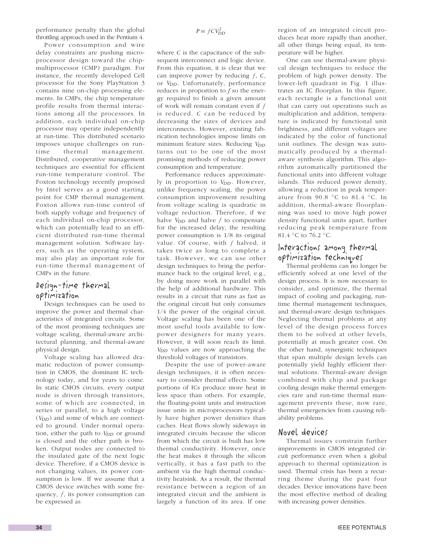performance penalty than the global throttling approach used in the Pentium 4.

Power consumption and wire delay constraints are pushing microprocessor design toward the chipmultiprocessor (CMP) paradigm. For instance, the recently developed Cell processor for the Sony PlayStation 3 contains nine on-chip processing elements. In CMPs, the chip temperature profile results from thermal interactions among all the processors. In addition, each individual on-chip processor may operate independently at run-time. This distributed scenario imposes unique challenges on runtime thermal management. Distributed, cooperative management techniques are essential for efficient run-time temperature control. The Foxton technology recently proposed by Intel serves as a good starting point for CMP thermal management. Foxton allows run-time control of both supply voltage and frequency of each individual on-chip processor, which can potentially lead to an efficient distributed run-time thermal management solution. Software layers, such as the operating system, may also play an important role for run-time thermal management of CMPs in the future.

#### Design-time thermal optimization

Design techniques can be used to improve the power and thermal characteristics of integrated circuits. Some of the most promising techniques are voltage scaling, thermal-aware architectural planning, and thermal-aware physical design.

Voltage scaling has allowed dramatic reduction of power consumption in CMOS, the dominant IC technology today, and for years to come. In static CMOS circuits, every output node is driven through transistors, some of which are connected, in series or parallel, to a high voltage (*VDD*) and some of which are connected to ground. Under normal operation, either the path to  $V_{DD}$  or ground is closed and the other path is broken. Output nodes are connected to the insulated gate of the next logic device. Therefore, if a CMOS device is not changing values, its power consumption is low. If we assume that a CMOS device switches with some frequency, *f*, its power consumption can be expressed as

$$
P = fCV_{DD}^2
$$

where *C* is the capacitance of the subsequent interconnect and logic device. From this equation, it is clear that we can improve power by reducing  $f$ ,  $C$ , or *VDD* . Unfortunately, performance reduces in proportion to *f* so the energy required to finish a given amount of work will remain constant even if *f* is reduced. *C* can be reduced by decreasing the sizes of devices and interconnects. However, existing fabrication technologies impose limits on minimum feature sizes. Reducing *VDD* turns out to be one of the most promising methods of reducing power consumption and temperature.

Performance reduces approximately in proportion to *V<sub>DD</sub>*. However, unlike frequency scaling, the power consumption improvement resulting from voltage scaling is quadratic in voltage reduction. Therefore, if we halve  $V_{DD}$  and halve  $f$  to compensate for the increased delay, the resulting power consumption is 1/8 its original value. Of course, with *f* halved, it takes twice as long to complete a task. However, we can use other design techniques to bring the performance back to the original level, e.g., by doing more work in parallel with the help of additional hardware. This results in a circuit that runs as fast as the original circuit but only consumes 1/4 the power of the original circuit. Voltage scaling has been one of the most useful tools available to lowpower designers for many years. However, it will soon reach its limit. *VDD* values are now approaching the threshold voltages of transistors.

Despite the use of power-aware design techniques, it is often necessary to consider thermal effects. Some portions of ICs produce more heat in less space than others. For example, the floating-point units and instruction issue units in microprocessors typically have higher power densities than caches. Heat flows slowly sideways in integrated circuits because the silicon from which the circuit is built has low thermal conductivity. However, once the heat makes it through the silicon vertically, it has a fast path to the ambient via the high thermal conductivity heatsink. As a result, the thermal resistance between a region of an integrated circuit and the ambient is largely a function of its area. If one

region of an integrated circuit produces heat more rapidly than another, all other things being equal, its temperature will be higher.

One can use thermal-aware physical design techniques to reduce the problem of high power density. The lower-left quadrant in Fig. 1 illustrates an IC floorplan. In this figure, each rectangle is a functional unit that can carry out operations such as multiplication and addition, temperature is indicated by functional unit brightness, and different voltages are indicated by the color of functional unit outlines. The design was automatically produced by a thermalaware synthesis algorithm. This algorithm automatically partitioned the functional units into different voltage islands. This reduced power density, allowing a reduction in peak temperature from 90.8 ◦C to 81.4 ◦C. In addition, thermal-aware floorplanning was used to move high power density functional units apart, further reducing peak temperature from 81.4 °C to 76.2 °C.

### Interactions among thermal optimization techniques

Thermal problems can no longer be efficiently solved at one level of the design process. It is now necessary to consider, and optimize, the thermal impact of cooling and packaging, runtime thermal management techniques, and thermal-aware design techniques. Neglecting thermal problems at any level of the design process forces them to be solved at other levels, potentially at much greater cost. On the other hand, synergistic techniques that span multiple design levels can potentially yield highly efficient thermal solutions. Thermal-aware design combined with chip and package cooling design make thermal emergencies rare and run-time thermal management prevents these, now rare, thermal emergencies from causing reliability problems.

### Novel devices

Thermal issues constrain further improvements in CMOS integrated circuit performance even when a global approach to thermal optimization is used. Thermal crisis has been a recurring theme during the past four decades. Device innovations have been the most effective method of dealing with increasing power densities.